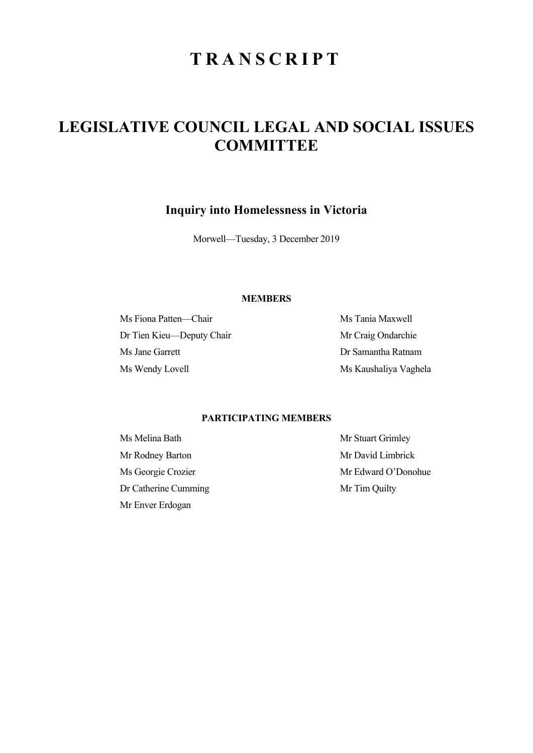# **TRANSCRIPT**

# **LEGISLATIVE COUNCIL LEGAL AND SOCIAL ISSUES COMMITTEE**

**Inquiry into Homelessness in Victoria** 

Morwell—Tuesday, 3 December 2019

## **MEMBERS**

Ms Fiona Patten—Chair Ms Tania Maxwell Dr Tien Kieu—Deputy Chair Mr Craig Ondarchie Ms Jane Garrett Dr Samantha Ratnam Ms Wendy Lovell Ms Kaushaliya Vaghela

# **PARTICIPATING MEMBERS**

Ms Melina Bath Mr Stuart Grimley Mr Rodney Barton Mr David Limbrick Dr Catherine Cumming Mr Tim Quilty Mr Enver Erdogan

Ms Georgie Crozier Mr Edward O'Donohue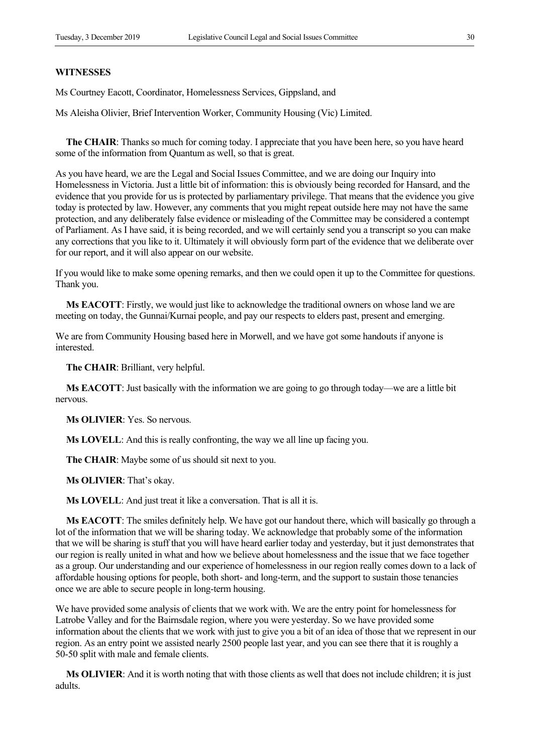#### **WITNESSES**

Ms Courtney Eacott, Coordinator, Homelessness Services, Gippsland, and

Ms Aleisha Olivier, Brief Intervention Worker, Community Housing (Vic) Limited.

**The CHAIR**: Thanks so much for coming today. I appreciate that you have been here, so you have heard some of the information from Quantum as well, so that is great.

As you have heard, we are the Legal and Social Issues Committee, and we are doing our Inquiry into Homelessness in Victoria. Just a little bit of information: this is obviously being recorded for Hansard, and the evidence that you provide for us is protected by parliamentary privilege. That means that the evidence you give today is protected by law. However, any comments that you might repeat outside here may not have the same protection, and any deliberately false evidence or misleading of the Committee may be considered a contempt of Parliament. As I have said, it is being recorded, and we will certainly send you a transcript so you can make any corrections that you like to it. Ultimately it will obviously form part of the evidence that we deliberate over for our report, and it will also appear on our website.

If you would like to make some opening remarks, and then we could open it up to the Committee for questions. Thank you.

**Ms EACOTT**: Firstly, we would just like to acknowledge the traditional owners on whose land we are meeting on today, the Gunnai/Kurnai people, and pay our respects to elders past, present and emerging.

We are from Community Housing based here in Morwell, and we have got some handouts if anyone is interested.

**The CHAIR**: Brilliant, very helpful.

**Ms EACOTT**: Just basically with the information we are going to go through today—we are a little bit nervous.

**Ms OLIVIER**: Yes. So nervous.

**Ms LOVELL**: And this is really confronting, the way we all line up facing you.

**The CHAIR**: Maybe some of us should sit next to you.

**Ms OLIVIER**: That's okay.

**Ms LOVELL**: And just treat it like a conversation. That is all it is.

**Ms EACOTT**: The smiles definitely help. We have got our handout there, which will basically go through a lot of the information that we will be sharing today. We acknowledge that probably some of the information that we will be sharing is stuff that you will have heard earlier today and yesterday, but it just demonstrates that our region is really united in what and how we believe about homelessness and the issue that we face together as a group. Our understanding and our experience of homelessness in our region really comes down to a lack of affordable housing options for people, both short- and long-term, and the support to sustain those tenancies once we are able to secure people in long-term housing.

We have provided some analysis of clients that we work with. We are the entry point for homelessness for Latrobe Valley and for the Bairnsdale region, where you were yesterday. So we have provided some information about the clients that we work with just to give you a bit of an idea of those that we represent in our region. As an entry point we assisted nearly 2500 people last year, and you can see there that it is roughly a 50-50 split with male and female clients.

**Ms OLIVIER**: And it is worth noting that with those clients as well that does not include children; it is just adults.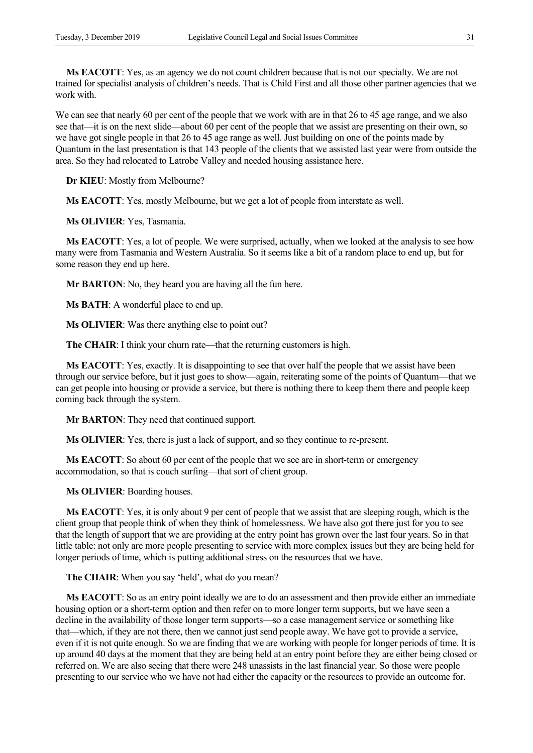**Ms EACOTT**: Yes, as an agency we do not count children because that is not our specialty. We are not trained for specialist analysis of children's needs. That is Child First and all those other partner agencies that we work with.

We can see that nearly 60 per cent of the people that we work with are in that 26 to 45 age range, and we also see that—it is on the next slide—about 60 per cent of the people that we assist are presenting on their own, so we have got single people in that 26 to 45 age range as well. Just building on one of the points made by Quantum in the last presentation is that 143 people of the clients that we assisted last year were from outside the area. So they had relocated to Latrobe Valley and needed housing assistance here.

**Dr KIEU**: Mostly from Melbourne?

**Ms EACOTT**: Yes, mostly Melbourne, but we get a lot of people from interstate as well.

**Ms OLIVIER**: Yes, Tasmania.

**Ms EACOTT**: Yes, a lot of people. We were surprised, actually, when we looked at the analysis to see how many were from Tasmania and Western Australia. So it seems like a bit of a random place to end up, but for some reason they end up here.

**Mr BARTON:** No, they heard you are having all the fun here.

**Ms BATH**: A wonderful place to end up.

**Ms OLIVIER**: Was there anything else to point out?

**The CHAIR**: I think your churn rate—that the returning customers is high.

**Ms EACOTT**: Yes, exactly. It is disappointing to see that over half the people that we assist have been through our service before, but it just goes to show—again, reiterating some of the points of Quantum—that we can get people into housing or provide a service, but there is nothing there to keep them there and people keep coming back through the system.

**Mr BARTON**: They need that continued support.

**Ms OLIVIER**: Yes, there is just a lack of support, and so they continue to re-present.

**Ms EACOTT**: So about 60 per cent of the people that we see are in short-term or emergency accommodation, so that is couch surfing—that sort of client group.

**Ms OLIVIER**: Boarding houses.

**Ms EACOTT**: Yes, it is only about 9 per cent of people that we assist that are sleeping rough, which is the client group that people think of when they think of homelessness. We have also got there just for you to see that the length of support that we are providing at the entry point has grown over the last four years. So in that little table: not only are more people presenting to service with more complex issues but they are being held for longer periods of time, which is putting additional stress on the resources that we have.

**The CHAIR**: When you say 'held', what do you mean?

**Ms EACOTT**: So as an entry point ideally we are to do an assessment and then provide either an immediate housing option or a short-term option and then refer on to more longer term supports, but we have seen a decline in the availability of those longer term supports—so a case management service or something like that—which, if they are not there, then we cannot just send people away. We have got to provide a service, even if it is not quite enough. So we are finding that we are working with people for longer periods of time. It is up around 40 days at the moment that they are being held at an entry point before they are either being closed or referred on. We are also seeing that there were 248 unassists in the last financial year. So those were people presenting to our service who we have not had either the capacity or the resources to provide an outcome for.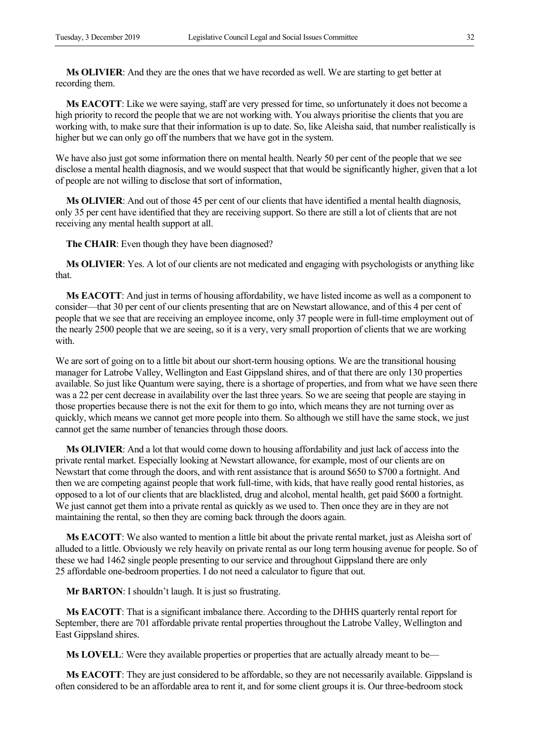**Ms OLIVIER**: And they are the ones that we have recorded as well. We are starting to get better at recording them.

**Ms EACOTT**: Like we were saying, staff are very pressed for time, so unfortunately it does not become a high priority to record the people that we are not working with. You always prioritise the clients that you are working with, to make sure that their information is up to date. So, like Aleisha said, that number realistically is higher but we can only go off the numbers that we have got in the system.

We have also just got some information there on mental health. Nearly 50 per cent of the people that we see disclose a mental health diagnosis, and we would suspect that that would be significantly higher, given that a lot of people are not willing to disclose that sort of information,

**Ms OLIVIER**: And out of those 45 per cent of our clients that have identified a mental health diagnosis, only 35 per cent have identified that they are receiving support. So there are still a lot of clients that are not receiving any mental health support at all.

**The CHAIR**: Even though they have been diagnosed?

**Ms OLIVIER**: Yes. A lot of our clients are not medicated and engaging with psychologists or anything like that.

**Ms EACOTT**: And just in terms of housing affordability, we have listed income as well as a component to consider—that 30 per cent of our clients presenting that are on Newstart allowance, and of this 4 per cent of people that we see that are receiving an employee income, only 37 people were in full-time employment out of the nearly 2500 people that we are seeing, so it is a very, very small proportion of clients that we are working with.

We are sort of going on to a little bit about our short-term housing options. We are the transitional housing manager for Latrobe Valley, Wellington and East Gippsland shires, and of that there are only 130 properties available. So just like Quantum were saying, there is a shortage of properties, and from what we have seen there was a 22 per cent decrease in availability over the last three years. So we are seeing that people are staying in those properties because there is not the exit for them to go into, which means they are not turning over as quickly, which means we cannot get more people into them. So although we still have the same stock, we just cannot get the same number of tenancies through those doors.

**Ms OLIVIER**: And a lot that would come down to housing affordability and just lack of access into the private rental market. Especially looking at Newstart allowance, for example, most of our clients are on Newstart that come through the doors, and with rent assistance that is around \$650 to \$700 a fortnight. And then we are competing against people that work full-time, with kids, that have really good rental histories, as opposed to a lot of our clients that are blacklisted, drug and alcohol, mental health, get paid \$600 a fortnight. We just cannot get them into a private rental as quickly as we used to. Then once they are in they are not maintaining the rental, so then they are coming back through the doors again.

**Ms EACOTT**: We also wanted to mention a little bit about the private rental market, just as Aleisha sort of alluded to a little. Obviously we rely heavily on private rental as our long term housing avenue for people. So of these we had 1462 single people presenting to our service and throughout Gippsland there are only 25 affordable one-bedroom properties. I do not need a calculator to figure that out.

**Mr BARTON**: I shouldn't laugh. It is just so frustrating.

**Ms EACOTT**: That is a significant imbalance there. According to the DHHS quarterly rental report for September, there are 701 affordable private rental properties throughout the Latrobe Valley, Wellington and East Gippsland shires.

**Ms LOVELL**: Were they available properties or properties that are actually already meant to be—

**Ms EACOTT**: They are just considered to be affordable, so they are not necessarily available. Gippsland is often considered to be an affordable area to rent it, and for some client groups it is. Our three-bedroom stock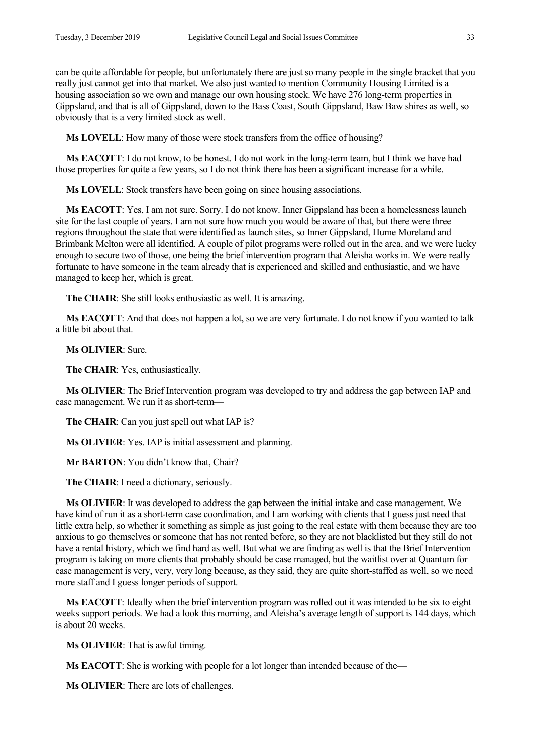can be quite affordable for people, but unfortunately there are just so many people in the single bracket that you really just cannot get into that market. We also just wanted to mention Community Housing Limited is a housing association so we own and manage our own housing stock. We have 276 long-term properties in Gippsland, and that is all of Gippsland, down to the Bass Coast, South Gippsland, Baw Baw shires as well, so obviously that is a very limited stock as well.

**Ms LOVELL**: How many of those were stock transfers from the office of housing?

**Ms EACOTT**: I do not know, to be honest. I do not work in the long-term team, but I think we have had those properties for quite a few years, so I do not think there has been a significant increase for a while.

**Ms LOVELL**: Stock transfers have been going on since housing associations.

**Ms EACOTT**: Yes, I am not sure. Sorry. I do not know. Inner Gippsland has been a homelessness launch site for the last couple of years. I am not sure how much you would be aware of that, but there were three regions throughout the state that were identified as launch sites, so Inner Gippsland, Hume Moreland and Brimbank Melton were all identified. A couple of pilot programs were rolled out in the area, and we were lucky enough to secure two of those, one being the brief intervention program that Aleisha works in. We were really fortunate to have someone in the team already that is experienced and skilled and enthusiastic, and we have managed to keep her, which is great.

**The CHAIR**: She still looks enthusiastic as well. It is amazing.

**Ms EACOTT**: And that does not happen a lot, so we are very fortunate. I do not know if you wanted to talk a little bit about that.

### **Ms OLIVIER**: Sure.

**The CHAIR**: Yes, enthusiastically.

**Ms OLIVIER**: The Brief Intervention program was developed to try and address the gap between IAP and case management. We run it as short-term—

**The CHAIR**: Can you just spell out what IAP is?

**Ms OLIVIER**: Yes. IAP is initial assessment and planning.

**Mr BARTON**: You didn't know that, Chair?

**The CHAIR**: I need a dictionary, seriously.

**Ms OLIVIER**: It was developed to address the gap between the initial intake and case management. We have kind of run it as a short-term case coordination, and I am working with clients that I guess just need that little extra help, so whether it something as simple as just going to the real estate with them because they are too anxious to go themselves or someone that has not rented before, so they are not blacklisted but they still do not have a rental history, which we find hard as well. But what we are finding as well is that the Brief Intervention program is taking on more clients that probably should be case managed, but the waitlist over at Quantum for case management is very, very, very long because, as they said, they are quite short-staffed as well, so we need more staff and I guess longer periods of support.

**Ms EACOTT**: Ideally when the brief intervention program was rolled out it was intended to be six to eight weeks support periods. We had a look this morning, and Aleisha's average length of support is 144 days, which is about 20 weeks.

**Ms OLIVIER**: That is awful timing.

**Ms EACOTT**: She is working with people for a lot longer than intended because of the—

**Ms OLIVIER**: There are lots of challenges.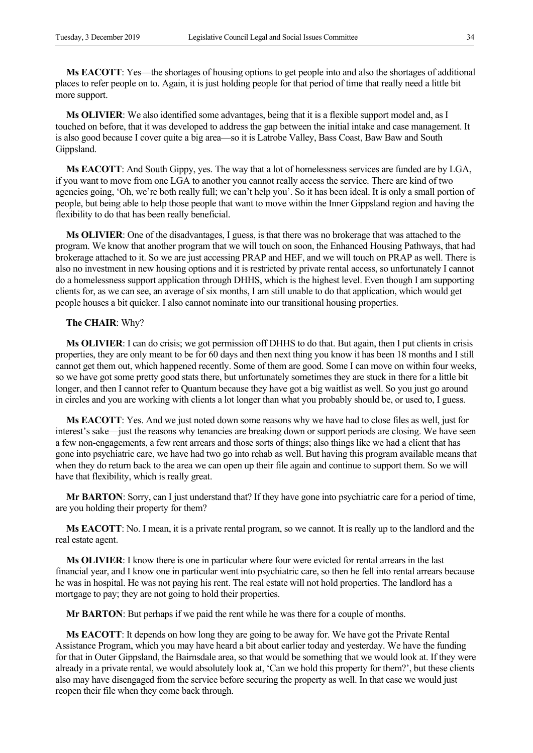**Ms EACOTT**: Yes—the shortages of housing options to get people into and also the shortages of additional places to refer people on to. Again, it is just holding people for that period of time that really need a little bit more support.

**Ms OLIVIER**: We also identified some advantages, being that it is a flexible support model and, as I touched on before, that it was developed to address the gap between the initial intake and case management. It is also good because I cover quite a big area—so it is Latrobe Valley, Bass Coast, Baw Baw and South Gippsland.

**Ms EACOTT**: And South Gippy, yes. The way that a lot of homelessness services are funded are by LGA, if you want to move from one LGA to another you cannot really access the service. There are kind of two agencies going, 'Oh, we're both really full; we can't help you'. So it has been ideal. It is only a small portion of people, but being able to help those people that want to move within the Inner Gippsland region and having the flexibility to do that has been really beneficial.

**Ms OLIVIER**: One of the disadvantages, I guess, is that there was no brokerage that was attached to the program. We know that another program that we will touch on soon, the Enhanced Housing Pathways, that had brokerage attached to it. So we are just accessing PRAP and HEF, and we will touch on PRAP as well. There is also no investment in new housing options and it is restricted by private rental access, so unfortunately I cannot do a homelessness support application through DHHS, which is the highest level. Even though I am supporting clients for, as we can see, an average of six months, I am still unable to do that application, which would get people houses a bit quicker. I also cannot nominate into our transitional housing properties.

#### **The CHAIR**: Why?

**Ms OLIVIER**: I can do crisis; we got permission off DHHS to do that. But again, then I put clients in crisis properties, they are only meant to be for 60 days and then next thing you know it has been 18 months and I still cannot get them out, which happened recently. Some of them are good. Some I can move on within four weeks, so we have got some pretty good stats there, but unfortunately sometimes they are stuck in there for a little bit longer, and then I cannot refer to Quantum because they have got a big waitlist as well. So you just go around in circles and you are working with clients a lot longer than what you probably should be, or used to, I guess.

**Ms EACOTT**: Yes. And we just noted down some reasons why we have had to close files as well, just for interest's sake—just the reasons why tenancies are breaking down or support periods are closing. We have seen a few non-engagements, a few rent arrears and those sorts of things; also things like we had a client that has gone into psychiatric care, we have had two go into rehab as well. But having this program available means that when they do return back to the area we can open up their file again and continue to support them. So we will have that flexibility, which is really great.

**Mr BARTON**: Sorry, can I just understand that? If they have gone into psychiatric care for a period of time, are you holding their property for them?

**Ms EACOTT**: No. I mean, it is a private rental program, so we cannot. It is really up to the landlord and the real estate agent.

**Ms OLIVIER**: I know there is one in particular where four were evicted for rental arrears in the last financial year, and I know one in particular went into psychiatric care, so then he fell into rental arrears because he was in hospital. He was not paying his rent. The real estate will not hold properties. The landlord has a mortgage to pay; they are not going to hold their properties.

**Mr BARTON**: But perhaps if we paid the rent while he was there for a couple of months.

**Ms EACOTT**: It depends on how long they are going to be away for. We have got the Private Rental Assistance Program, which you may have heard a bit about earlier today and yesterday. We have the funding for that in Outer Gippsland, the Bairnsdale area, so that would be something that we would look at. If they were already in a private rental, we would absolutely look at, 'Can we hold this property for them?', but these clients also may have disengaged from the service before securing the property as well. In that case we would just reopen their file when they come back through.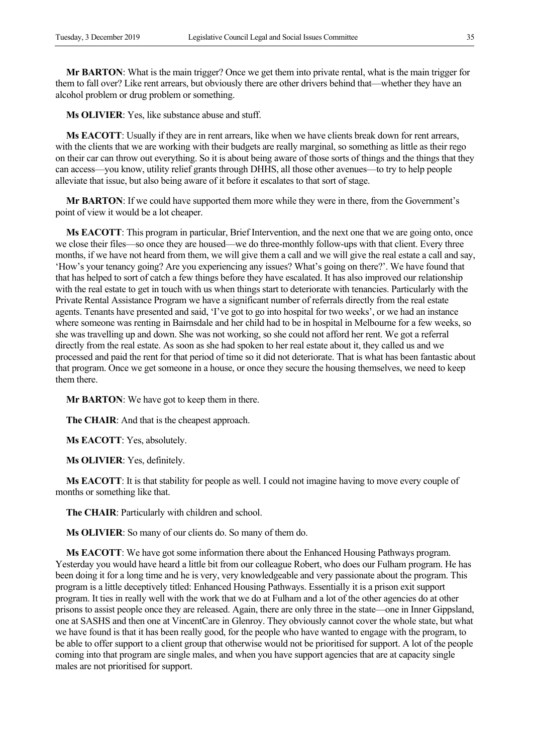**Mr BARTON**: What is the main trigger? Once we get them into private rental, what is the main trigger for them to fall over? Like rent arrears, but obviously there are other drivers behind that—whether they have an alcohol problem or drug problem or something.

**Ms OLIVIER**: Yes, like substance abuse and stuff.

**Ms EACOTT**: Usually if they are in rent arrears, like when we have clients break down for rent arrears, with the clients that we are working with their budgets are really marginal, so something as little as their rego on their car can throw out everything. So it is about being aware of those sorts of things and the things that they can access—you know, utility relief grants through DHHS, all those other avenues—to try to help people alleviate that issue, but also being aware of it before it escalates to that sort of stage.

**Mr BARTON**: If we could have supported them more while they were in there, from the Government's point of view it would be a lot cheaper.

**Ms EACOTT**: This program in particular, Brief Intervention, and the next one that we are going onto, once we close their files—so once they are housed—we do three-monthly follow-ups with that client. Every three months, if we have not heard from them, we will give them a call and we will give the real estate a call and say, 'How's your tenancy going? Are you experiencing any issues? What's going on there?'. We have found that that has helped to sort of catch a few things before they have escalated. It has also improved our relationship with the real estate to get in touch with us when things start to deteriorate with tenancies. Particularly with the Private Rental Assistance Program we have a significant number of referrals directly from the real estate agents. Tenants have presented and said, 'I've got to go into hospital for two weeks', or we had an instance where someone was renting in Bairnsdale and her child had to be in hospital in Melbourne for a few weeks, so she was travelling up and down. She was not working, so she could not afford her rent. We got a referral directly from the real estate. As soon as she had spoken to her real estate about it, they called us and we processed and paid the rent for that period of time so it did not deteriorate. That is what has been fantastic about that program. Once we get someone in a house, or once they secure the housing themselves, we need to keep them there.

**Mr BARTON**: We have got to keep them in there.

**The CHAIR**: And that is the cheapest approach.

**Ms EACOTT**: Yes, absolutely.

**Ms OLIVIER**: Yes, definitely.

**Ms EACOTT**: It is that stability for people as well. I could not imagine having to move every couple of months or something like that.

**The CHAIR**: Particularly with children and school.

**Ms OLIVIER**: So many of our clients do. So many of them do.

**Ms EACOTT**: We have got some information there about the Enhanced Housing Pathways program. Yesterday you would have heard a little bit from our colleague Robert, who does our Fulham program. He has been doing it for a long time and he is very, very knowledgeable and very passionate about the program. This program is a little deceptively titled: Enhanced Housing Pathways. Essentially it is a prison exit support program. It ties in really well with the work that we do at Fulham and a lot of the other agencies do at other prisons to assist people once they are released. Again, there are only three in the state—one in Inner Gippsland, one at SASHS and then one at VincentCare in Glenroy. They obviously cannot cover the whole state, but what we have found is that it has been really good, for the people who have wanted to engage with the program, to be able to offer support to a client group that otherwise would not be prioritised for support. A lot of the people coming into that program are single males, and when you have support agencies that are at capacity single males are not prioritised for support.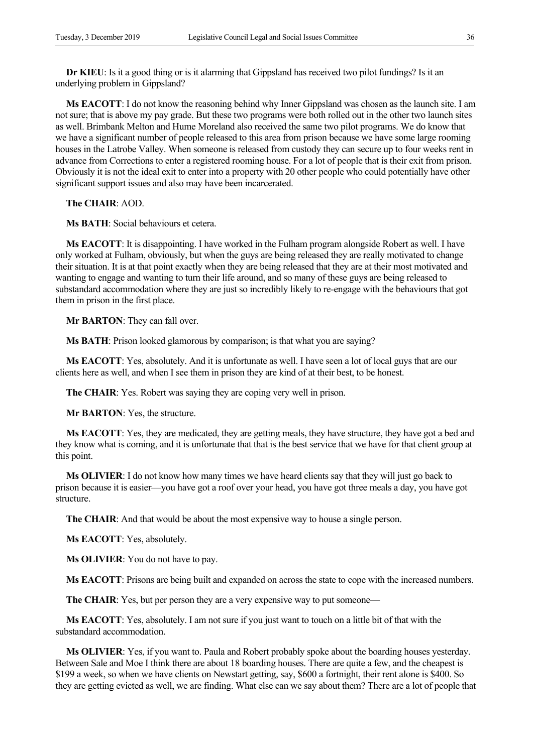**Dr KIEU**: Is it a good thing or is it alarming that Gippsland has received two pilot fundings? Is it an underlying problem in Gippsland?

**Ms EACOTT**: I do not know the reasoning behind why Inner Gippsland was chosen as the launch site. I am not sure; that is above my pay grade. But these two programs were both rolled out in the other two launch sites as well. Brimbank Melton and Hume Moreland also received the same two pilot programs. We do know that we have a significant number of people released to this area from prison because we have some large rooming houses in the Latrobe Valley. When someone is released from custody they can secure up to four weeks rent in advance from Corrections to enter a registered rooming house. For a lot of people that is their exit from prison. Obviously it is not the ideal exit to enter into a property with 20 other people who could potentially have other significant support issues and also may have been incarcerated.

**The CHAIR**: AOD.

**Ms BATH**: Social behaviours et cetera.

**Ms EACOTT**: It is disappointing. I have worked in the Fulham program alongside Robert as well. I have only worked at Fulham, obviously, but when the guys are being released they are really motivated to change their situation. It is at that point exactly when they are being released that they are at their most motivated and wanting to engage and wanting to turn their life around, and so many of these guys are being released to substandard accommodation where they are just so incredibly likely to re-engage with the behaviours that got them in prison in the first place.

**Mr BARTON**: They can fall over.

**Ms BATH**: Prison looked glamorous by comparison; is that what you are saying?

**Ms EACOTT**: Yes, absolutely. And it is unfortunate as well. I have seen a lot of local guys that are our clients here as well, and when I see them in prison they are kind of at their best, to be honest.

**The CHAIR**: Yes. Robert was saying they are coping very well in prison.

**Mr BARTON**: Yes, the structure.

**Ms EACOTT**: Yes, they are medicated, they are getting meals, they have structure, they have got a bed and they know what is coming, and it is unfortunate that that is the best service that we have for that client group at this point.

**Ms OLIVIER**: I do not know how many times we have heard clients say that they will just go back to prison because it is easier—you have got a roof over your head, you have got three meals a day, you have got structure.

**The CHAIR**: And that would be about the most expensive way to house a single person.

**Ms EACOTT**: Yes, absolutely.

**Ms OLIVIER**: You do not have to pay.

**Ms EACOTT**: Prisons are being built and expanded on across the state to cope with the increased numbers.

The CHAIR: Yes, but per person they are a very expensive way to put someone—

**Ms EACOTT**: Yes, absolutely. I am not sure if you just want to touch on a little bit of that with the substandard accommodation.

**Ms OLIVIER**: Yes, if you want to. Paula and Robert probably spoke about the boarding houses yesterday. Between Sale and Moe I think there are about 18 boarding houses. There are quite a few, and the cheapest is \$199 a week, so when we have clients on Newstart getting, say, \$600 a fortnight, their rent alone is \$400. So they are getting evicted as well, we are finding. What else can we say about them? There are a lot of people that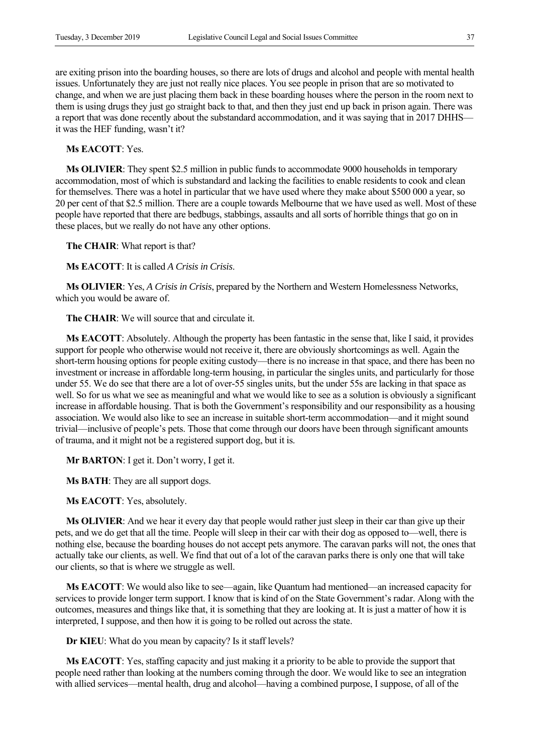are exiting prison into the boarding houses, so there are lots of drugs and alcohol and people with mental health issues. Unfortunately they are just not really nice places. You see people in prison that are so motivated to change, and when we are just placing them back in these boarding houses where the person in the room next to them is using drugs they just go straight back to that, and then they just end up back in prison again. There was a report that was done recently about the substandard accommodation, and it was saying that in 2017 DHHS it was the HEF funding, wasn't it?

**Ms EACOTT**: Yes.

**Ms OLIVIER**: They spent \$2.5 million in public funds to accommodate 9000 households in temporary accommodation, most of which is substandard and lacking the facilities to enable residents to cook and clean for themselves. There was a hotel in particular that we have used where they make about \$500 000 a year, so 20 per cent of that \$2.5 million. There are a couple towards Melbourne that we have used as well. Most of these people have reported that there are bedbugs, stabbings, assaults and all sorts of horrible things that go on in these places, but we really do not have any other options.

**The CHAIR**: What report is that?

**Ms EACOTT**: It is called *A Crisis in Crisis*.

**Ms OLIVIER**: Yes, *A Crisis in Crisis*, prepared by the Northern and Western Homelessness Networks, which you would be aware of.

**The CHAIR**: We will source that and circulate it.

**Ms EACOTT**: Absolutely. Although the property has been fantastic in the sense that, like I said, it provides support for people who otherwise would not receive it, there are obviously shortcomings as well. Again the short-term housing options for people exiting custody—there is no increase in that space, and there has been no investment or increase in affordable long-term housing, in particular the singles units, and particularly for those under 55. We do see that there are a lot of over-55 singles units, but the under 55s are lacking in that space as well. So for us what we see as meaningful and what we would like to see as a solution is obviously a significant increase in affordable housing. That is both the Government's responsibility and our responsibility as a housing association. We would also like to see an increase in suitable short-term accommodation—and it might sound trivial—inclusive of people's pets. Those that come through our doors have been through significant amounts of trauma, and it might not be a registered support dog, but it is.

**Mr BARTON**: I get it. Don't worry, I get it.

**Ms BATH**: They are all support dogs.

**Ms EACOTT**: Yes, absolutely.

**Ms OLIVIER**: And we hear it every day that people would rather just sleep in their car than give up their pets, and we do get that all the time. People will sleep in their car with their dog as opposed to—well, there is nothing else, because the boarding houses do not accept pets anymore. The caravan parks will not, the ones that actually take our clients, as well. We find that out of a lot of the caravan parks there is only one that will take our clients, so that is where we struggle as well.

**Ms EACOTT**: We would also like to see—again, like Quantum had mentioned—an increased capacity for services to provide longer term support. I know that is kind of on the State Government's radar. Along with the outcomes, measures and things like that, it is something that they are looking at. It is just a matter of how it is interpreted, I suppose, and then how it is going to be rolled out across the state.

**Dr KIEU**: What do you mean by capacity? Is it staff levels?

**Ms EACOTT**: Yes, staffing capacity and just making it a priority to be able to provide the support that people need rather than looking at the numbers coming through the door. We would like to see an integration with allied services—mental health, drug and alcohol—having a combined purpose, I suppose, of all of the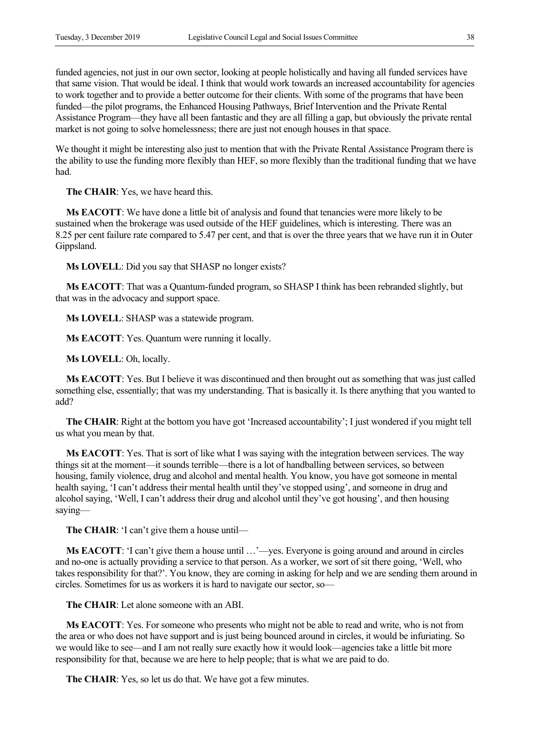funded agencies, not just in our own sector, looking at people holistically and having all funded services have that same vision. That would be ideal. I think that would work towards an increased accountability for agencies to work together and to provide a better outcome for their clients. With some of the programs that have been funded—the pilot programs, the Enhanced Housing Pathways, Brief Intervention and the Private Rental Assistance Program—they have all been fantastic and they are all filling a gap, but obviously the private rental market is not going to solve homelessness; there are just not enough houses in that space.

We thought it might be interesting also just to mention that with the Private Rental Assistance Program there is the ability to use the funding more flexibly than HEF, so more flexibly than the traditional funding that we have had.

**The CHAIR**: Yes, we have heard this.

**Ms EACOTT**: We have done a little bit of analysis and found that tenancies were more likely to be sustained when the brokerage was used outside of the HEF guidelines, which is interesting. There was an 8.25 per cent failure rate compared to 5.47 per cent, and that is over the three years that we have run it in Outer Gippsland.

**Ms LOVELL**: Did you say that SHASP no longer exists?

**Ms EACOTT**: That was a Quantum-funded program, so SHASP I think has been rebranded slightly, but that was in the advocacy and support space.

**Ms LOVELL**: SHASP was a statewide program.

**Ms EACOTT**: Yes. Quantum were running it locally.

**Ms LOVELL**: Oh, locally.

**Ms EACOTT**: Yes. But I believe it was discontinued and then brought out as something that was just called something else, essentially; that was my understanding. That is basically it. Is there anything that you wanted to add?

**The CHAIR**: Right at the bottom you have got 'Increased accountability'; I just wondered if you might tell us what you mean by that.

**Ms EACOTT**: Yes. That is sort of like what I was saying with the integration between services. The way things sit at the moment—it sounds terrible—there is a lot of handballing between services, so between housing, family violence, drug and alcohol and mental health. You know, you have got someone in mental health saying, 'I can't address their mental health until they've stopped using', and someone in drug and alcohol saying, 'Well, I can't address their drug and alcohol until they've got housing', and then housing saying—

**The CHAIR**: 'I can't give them a house until—

**Ms EACOTT**: 'I can't give them a house until …'—yes. Everyone is going around and around in circles and no-one is actually providing a service to that person. As a worker, we sort of sit there going, 'Well, who takes responsibility for that?'. You know, they are coming in asking for help and we are sending them around in circles. Sometimes for us as workers it is hard to navigate our sector, so—

**The CHAIR**: Let alone someone with an ABI.

**Ms EACOTT**: Yes. For someone who presents who might not be able to read and write, who is not from the area or who does not have support and is just being bounced around in circles, it would be infuriating. So we would like to see—and I am not really sure exactly how it would look—agencies take a little bit more responsibility for that, because we are here to help people; that is what we are paid to do.

**The CHAIR**: Yes, so let us do that. We have got a few minutes.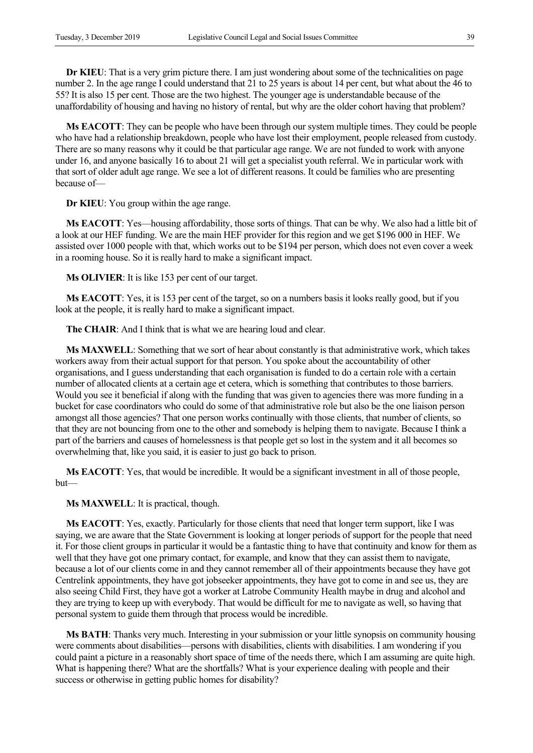**Dr KIEU**: That is a very grim picture there. I am just wondering about some of the technicalities on page number 2. In the age range I could understand that 21 to 25 years is about 14 per cent, but what about the 46 to 55? It is also 15 per cent. Those are the two highest. The younger age is understandable because of the unaffordability of housing and having no history of rental, but why are the older cohort having that problem?

**Ms EACOTT**: They can be people who have been through our system multiple times. They could be people who have had a relationship breakdown, people who have lost their employment, people released from custody. There are so many reasons why it could be that particular age range. We are not funded to work with anyone under 16, and anyone basically 16 to about 21 will get a specialist youth referral. We in particular work with that sort of older adult age range. We see a lot of different reasons. It could be families who are presenting because of—

**Dr KIEU**: You group within the age range.

**Ms EACOTT**: Yes—housing affordability, those sorts of things. That can be why. We also had a little bit of a look at our HEF funding. We are the main HEF provider for this region and we get \$196 000 in HEF. We assisted over 1000 people with that, which works out to be \$194 per person, which does not even cover a week in a rooming house. So it is really hard to make a significant impact.

**Ms OLIVIER**: It is like 153 per cent of our target.

**Ms EACOTT**: Yes, it is 153 per cent of the target, so on a numbers basis it looks really good, but if you look at the people, it is really hard to make a significant impact.

**The CHAIR**: And I think that is what we are hearing loud and clear.

**Ms MAXWELL**: Something that we sort of hear about constantly is that administrative work, which takes workers away from their actual support for that person. You spoke about the accountability of other organisations, and I guess understanding that each organisation is funded to do a certain role with a certain number of allocated clients at a certain age et cetera, which is something that contributes to those barriers. Would you see it beneficial if along with the funding that was given to agencies there was more funding in a bucket for case coordinators who could do some of that administrative role but also be the one liaison person amongst all those agencies? That one person works continually with those clients, that number of clients, so that they are not bouncing from one to the other and somebody is helping them to navigate. Because I think a part of the barriers and causes of homelessness is that people get so lost in the system and it all becomes so overwhelming that, like you said, it is easier to just go back to prison.

**Ms EACOTT**: Yes, that would be incredible. It would be a significant investment in all of those people, but—

**Ms MAXWELL**: It is practical, though.

**Ms EACOTT**: Yes, exactly. Particularly for those clients that need that longer term support, like I was saying, we are aware that the State Government is looking at longer periods of support for the people that need it. For those client groups in particular it would be a fantastic thing to have that continuity and know for them as well that they have got one primary contact, for example, and know that they can assist them to navigate, because a lot of our clients come in and they cannot remember all of their appointments because they have got Centrelink appointments, they have got jobseeker appointments, they have got to come in and see us, they are also seeing Child First, they have got a worker at Latrobe Community Health maybe in drug and alcohol and they are trying to keep up with everybody. That would be difficult for me to navigate as well, so having that personal system to guide them through that process would be incredible.

**Ms BATH**: Thanks very much. Interesting in your submission or your little synopsis on community housing were comments about disabilities—persons with disabilities, clients with disabilities. I am wondering if you could paint a picture in a reasonably short space of time of the needs there, which I am assuming are quite high. What is happening there? What are the shortfalls? What is your experience dealing with people and their success or otherwise in getting public homes for disability?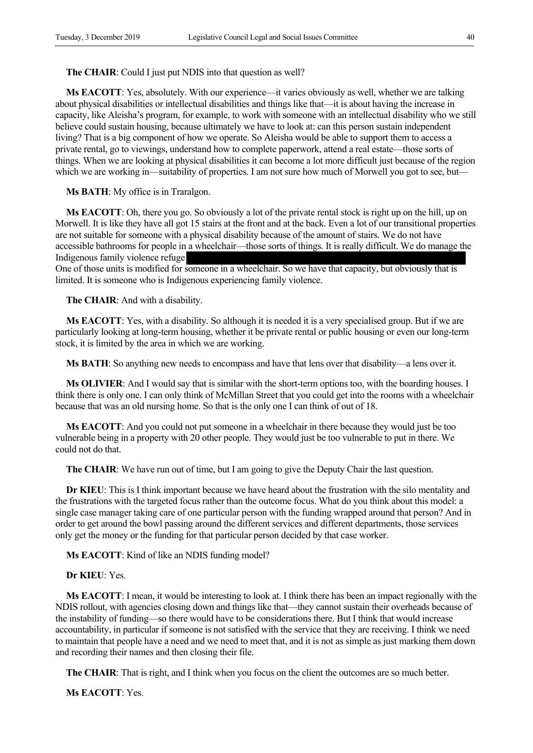#### **The CHAIR**: Could I just put NDIS into that question as well?

**Ms EACOTT**: Yes, absolutely. With our experience—it varies obviously as well, whether we are talking about physical disabilities or intellectual disabilities and things like that—it is about having the increase in capacity, like Aleisha's program, for example, to work with someone with an intellectual disability who we still believe could sustain housing, because ultimately we have to look at: can this person sustain independent living? That is a big component of how we operate. So Aleisha would be able to support them to access a private rental, go to viewings, understand how to complete paperwork, attend a real estate—those sorts of things. When we are looking at physical disabilities it can become a lot more difficult just because of the region which we are working in—suitability of properties. I am not sure how much of Morwell you got to see, but—

**Ms BATH**: My office is in Traralgon.

**Ms EACOTT**: Oh, there you go. So obviously a lot of the private rental stock is right up on the hill, up on Morwell. It is like they have all got 15 stairs at the front and at the back. Even a lot of our transitional properties are not suitable for someone with a physical disability because of the amount of stairs. We do not have accessible bathrooms for people in a wheelchair—those sorts of things. It is really difficult. We do manage the Indigenous family violence refuge

One of those units is modified for someone in a wheelchair. So we have that capacity, but obviously that is limited. It is someone who is Indigenous experiencing family violence.

**The CHAIR**: And with a disability.

**Ms EACOTT**: Yes, with a disability. So although it is needed it is a very specialised group. But if we are particularly looking at long-term housing, whether it be private rental or public housing or even our long-term stock, it is limited by the area in which we are working.

**Ms BATH**: So anything new needs to encompass and have that lens over that disability—a lens over it.

**Ms OLIVIER**: And I would say that is similar with the short-term options too, with the boarding houses. I think there is only one. I can only think of McMillan Street that you could get into the rooms with a wheelchair because that was an old nursing home. So that is the only one I can think of out of 18.

**Ms EACOTT**: And you could not put someone in a wheelchair in there because they would just be too vulnerable being in a property with 20 other people. They would just be too vulnerable to put in there. We could not do that.

**The CHAIR**: We have run out of time, but I am going to give the Deputy Chair the last question.

**Dr KIEU**: This is I think important because we have heard about the frustration with the silo mentality and the frustrations with the targeted focus rather than the outcome focus. What do you think about this model: a single case manager taking care of one particular person with the funding wrapped around that person? And in order to get around the bowl passing around the different services and different departments, those services only get the money or the funding for that particular person decided by that case worker.

**Ms EACOTT**: Kind of like an NDIS funding model?

**Dr KIEU**: Yes.

**Ms EACOTT**: I mean, it would be interesting to look at. I think there has been an impact regionally with the NDIS rollout, with agencies closing down and things like that—they cannot sustain their overheads because of the instability of funding—so there would have to be considerations there. But I think that would increase accountability, in particular if someone is not satisfied with the service that they are receiving. I think we need to maintain that people have a need and we need to meet that, and it is not as simple as just marking them down and recording their names and then closing their file.

**The CHAIR**: That is right, and I think when you focus on the client the outcomes are so much better.

**Ms EACOTT**: Yes.